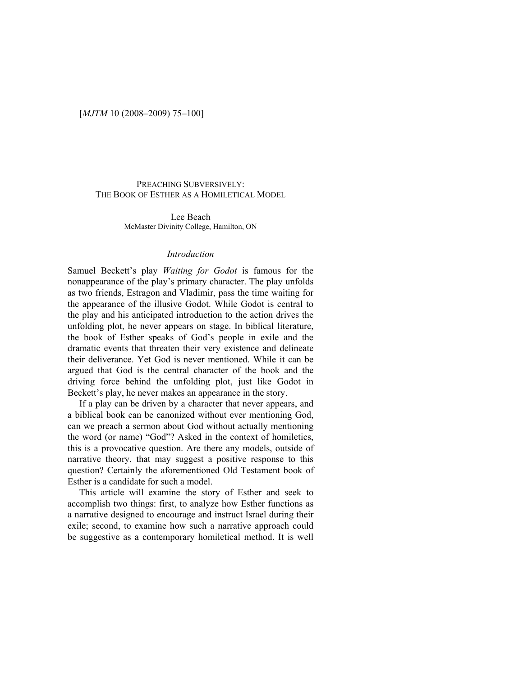# PREACHING SUBVERSIVELY: THE BOOK OF ESTHER AS A HOMILETICAL MODEL

Lee Beach McMaster Divinity College, Hamilton, ON

### *Introduction*

Samuel Beckett's play *Waiting for Godot* is famous for the nonappearance of the play's primary character. The play unfolds as two friends, Estragon and Vladimir, pass the time waiting for the appearance of the illusive Godot. While Godot is central to the play and his anticipated introduction to the action drives the unfolding plot, he never appears on stage. In biblical literature, the book of Esther speaks of God's people in exile and the dramatic events that threaten their very existence and delineate their deliverance. Yet God is never mentioned. While it can be argued that God is the central character of the book and the driving force behind the unfolding plot, just like Godot in Beckett's play, he never makes an appearance in the story.

If a play can be driven by a character that never appears, and a biblical book can be canonized without ever mentioning God, can we preach a sermon about God without actually mentioning the word (or name) "God"? Asked in the context of homiletics, this is a provocative question. Are there any models, outside of narrative theory, that may suggest a positive response to this question? Certainly the aforementioned Old Testament book of Esther is a candidate for such a model.

This article will examine the story of Esther and seek to accomplish two things: first, to analyze how Esther functions as a narrative designed to encourage and instruct Israel during their exile; second, to examine how such a narrative approach could be suggestive as a contemporary homiletical method. It is well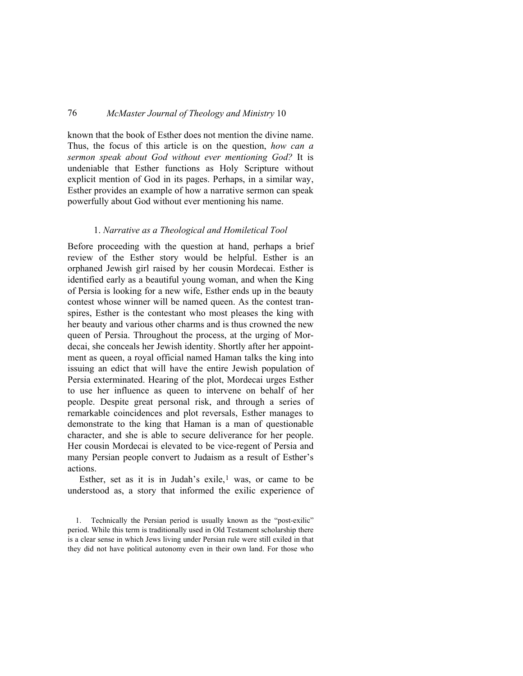known that the book of Esther does not mention the divine name. Thus, the focus of this article is on the question, *how can a sermon speak about God without ever mentioning God?* It is undeniable that Esther functions as Holy Scripture without explicit mention of God in its pages. Perhaps, in a similar way, Esther provides an example of how a narrative sermon can speak powerfully about God without ever mentioning his name.

#### 1. *Narrative as a Theological and Homiletical Tool*

Before proceeding with the question at hand, perhaps a brief review of the Esther story would be helpful. Esther is an orphaned Jewish girl raised by her cousin Mordecai. Esther is identified early as a beautiful young woman, and when the King of Persia is looking for a new wife, Esther ends up in the beauty contest whose winner will be named queen. As the contest transpires, Esther is the contestant who most pleases the king with her beauty and various other charms and is thus crowned the new queen of Persia. Throughout the process, at the urging of Mordecai, she conceals her Jewish identity. Shortly after her appointment as queen, a royal official named Haman talks the king into issuing an edict that will have the entire Jewish population of Persia exterminated. Hearing of the plot, Mordecai urges Esther to use her influence as queen to intervene on behalf of her people. Despite great personal risk, and through a series of remarkable coincidences and plot reversals, Esther manages to demonstrate to the king that Haman is a man of questionable character, and she is able to secure deliverance for her people. Her cousin Mordecai is elevated to be vice-regent of Persia and many Persian people convert to Judaism as a result of Esther's actions.

Esther, set as it is in Judah's exile,<sup>[1](#page-1-0)</sup> was, or came to be understood as, a story that informed the exilic experience of

<span id="page-1-0"></span><sup>1.</sup> Technically the Persian period is usually known as the "post-exilic" period. While this term is traditionally used in Old Testament scholarship there is a clear sense in which Jews living under Persian rule were still exiled in that they did not have political autonomy even in their own land. For those who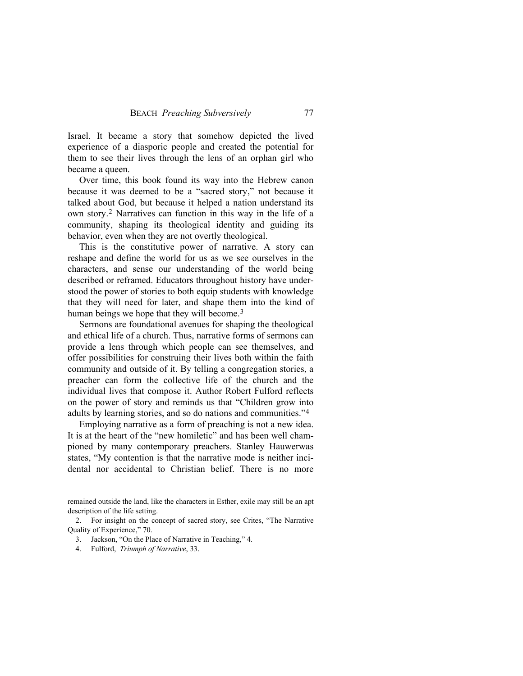Israel. It became a story that somehow depicted the lived experience of a diasporic people and created the potential for them to see their lives through the lens of an orphan girl who became a queen.

Over time, this book found its way into the Hebrew canon because it was deemed to be a "sacred story," not because it talked about God, but because it helped a nation understand its own story.[2](#page-2-0) Narratives can function in this way in the life of a community, shaping its theological identity and guiding its behavior, even when they are not overtly theological.

This is the constitutive power of narrative. A story can reshape and define the world for us as we see ourselves in the characters, and sense our understanding of the world being described or reframed. Educators throughout history have understood the power of stories to both equip students with knowledge that they will need for later, and shape them into the kind of human beings we hope that they will become.<sup>[3](#page-2-1)</sup>

Sermons are foundational avenues for shaping the theological and ethical life of a church. Thus, narrative forms of sermons can provide a lens through which people can see themselves, and offer possibilities for construing their lives both within the faith community and outside of it. By telling a congregation stories, a preacher can form the collective life of the church and the individual lives that compose it. Author Robert Fulford reflects on the power of story and reminds us that "Children grow into adults by learning stories, and so do nations and communities."[4](#page-2-2)

Employing narrative as a form of preaching is not a new idea. It is at the heart of the "new homiletic" and has been well championed by many contemporary preachers. Stanley Hauwerwas states, "My contention is that the narrative mode is neither incidental nor accidental to Christian belief. There is no more

remained outside the land, like the characters in Esther, exile may still be an apt description of the life setting.

<span id="page-2-2"></span><span id="page-2-1"></span><span id="page-2-0"></span>2. For insight on the concept of sacred story, see Crites, "The Narrative Quality of Experience," 70.

3. Jackson, "On the Place of Narrative in Teaching," 4.

4. Fulford, *Triumph of Narrative*, 33.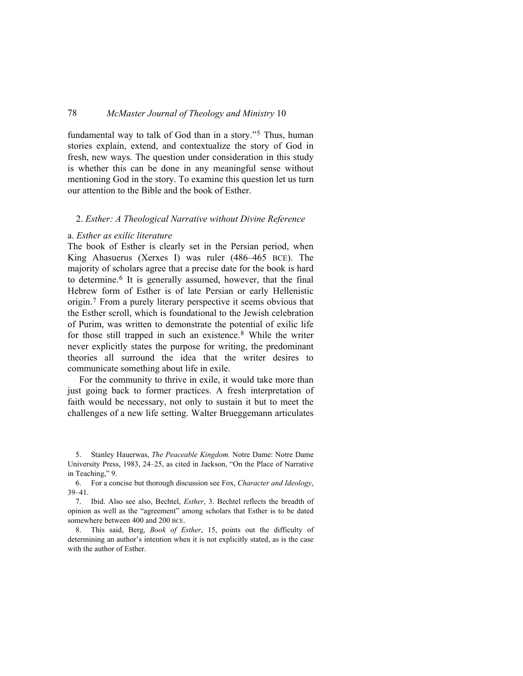fundamental way to talk of God than in a story."<sup>[5](#page-3-0)</sup> Thus, human stories explain, extend, and contextualize the story of God in fresh, new ways. The question under consideration in this study is whether this can be done in any meaningful sense without mentioning God in the story. To examine this question let us turn our attention to the Bible and the book of Esther.

#### 2. *Esther: A Theological Narrative without Divine Reference*

#### a. *Esther as exilic literature*

The book of Esther is clearly set in the Persian period, when King Ahasuerus (Xerxes I) was ruler (486–465 BCE). The majority of scholars agree that a precise date for the book is hard to determine.[6](#page-3-1) It is generally assumed, however, that the final Hebrew form of Esther is of late Persian or early Hellenistic origin.[7](#page-3-2) From a purely literary perspective it seems obvious that the Esther scroll, which is foundational to the Jewish celebration of Purim, was written to demonstrate the potential of exilic life for those still trapped in such an existence.[8](#page-3-3) While the writer never explicitly states the purpose for writing, the predominant theories all surround the idea that the writer desires to communicate something about life in exile.

For the community to thrive in exile, it would take more than just going back to former practices. A fresh interpretation of faith would be necessary, not only to sustain it but to meet the challenges of a new life setting. Walter Brueggemann articulates

<span id="page-3-0"></span><sup>5.</sup> Stanley Hauerwas, *The Peaceable Kingdom.* Notre Dame: Notre Dame University Press, 1983, 24–25, as cited in Jackson, "On the Place of Narrative in Teaching," 9.

<span id="page-3-1"></span><sup>6.</sup> For a concise but thorough discussion see Fox, *Character and Ideology*, 39–41.

<span id="page-3-2"></span><sup>7.</sup> Ibid. Also see also, Bechtel, *Esther*, 3. Bechtel reflects the breadth of opinion as well as the "agreement" among scholars that Esther is to be dated somewhere between 400 and 200 BCE.

<span id="page-3-3"></span><sup>8.</sup> This said, Berg, *Book of Esther*, 15, points out the difficulty of determining an author's intention when it is not explicitly stated, as is the case with the author of Esther.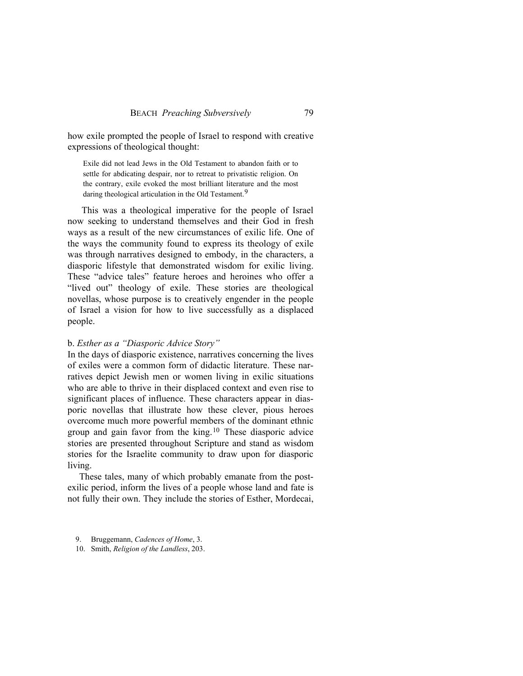how exile prompted the people of Israel to respond with creative expressions of theological thought:

Exile did not lead Jews in the Old Testament to abandon faith or to settle for abdicating despair, nor to retreat to privatistic religion. On the contrary, exile evoked the most brilliant literature and the most daring theological articulation in the Old Testament.<sup>[9](#page-4-0)</sup>

 This was a theological imperative for the people of Israel now seeking to understand themselves and their God in fresh ways as a result of the new circumstances of exilic life. One of the ways the community found to express its theology of exile was through narratives designed to embody, in the characters, a diasporic lifestyle that demonstrated wisdom for exilic living. These "advice tales" feature heroes and heroines who offer a "lived out" theology of exile. These stories are theological novellas, whose purpose is to creatively engender in the people of Israel a vision for how to live successfully as a displaced people.

### b. *Esther as a "Diasporic Advice Story"*

In the days of diasporic existence, narratives concerning the lives of exiles were a common form of didactic literature. These narratives depict Jewish men or women living in exilic situations who are able to thrive in their displaced context and even rise to significant places of influence. These characters appear in diasporic novellas that illustrate how these clever, pious heroes overcome much more powerful members of the dominant ethnic group and gain favor from the king.[10](#page-4-1) These diasporic advice stories are presented throughout Scripture and stand as wisdom stories for the Israelite community to draw upon for diasporic living.

These tales, many of which probably emanate from the postexilic period, inform the lives of a people whose land and fate is not fully their own. They include the stories of Esther, Mordecai,

<span id="page-4-1"></span><span id="page-4-0"></span>9. Bruggemann, *Cadences of Home*, 3.

10. Smith, *Religion of the Landless*, 203.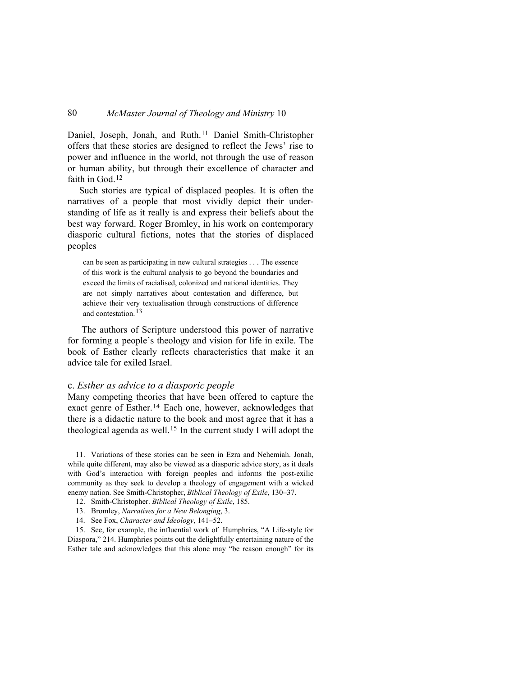Daniel, Joseph, Jonah, and Ruth.[11](#page-5-0) Daniel Smith-Christopher offers that these stories are designed to reflect the Jews' rise to power and influence in the world, not through the use of reason or human ability, but through their excellence of character and faith in God.<sup>[12](#page-5-1)</sup>

Such stories are typical of displaced peoples. It is often the narratives of a people that most vividly depict their understanding of life as it really is and express their beliefs about the best way forward. Roger Bromley, in his work on contemporary diasporic cultural fictions, notes that the stories of displaced peoples

can be seen as participating in new cultural strategies . . . The essence of this work is the cultural analysis to go beyond the boundaries and exceed the limits of racialised, colonized and national identities. They are not simply narratives about contestation and difference, but achieve their very textualisation through constructions of difference and contestation.[13](#page-5-2)

 The authors of Scripture understood this power of narrative for forming a people's theology and vision for life in exile. The book of Esther clearly reflects characteristics that make it an advice tale for exiled Israel.

#### c. *Esther as advice to a diasporic people*

Many competing theories that have been offered to capture the exact genre of Esther.[14](#page-5-3) Each one, however, acknowledges that there is a didactic nature to the book and most agree that it has a theological agenda as well.[15](#page-5-4) In the current study I will adopt the

<span id="page-5-0"></span>11. Variations of these stories can be seen in Ezra and Nehemiah. Jonah, while quite different, may also be viewed as a diasporic advice story, as it deals with God's interaction with foreign peoples and informs the post-exilic community as they seek to develop a theology of engagement with a wicked enemy nation. See Smith-Christopher, *Biblical Theology of Exile*, 130–37.

- 12. Smith-Christopher. *Biblical Theology of Exile*, 185.
- 13. Bromley, *Narratives for a New Belonging*, 3.
- 14. See Fox, *Character and Ideology*, 141–52.

<span id="page-5-4"></span><span id="page-5-3"></span><span id="page-5-2"></span><span id="page-5-1"></span>15. See, for example, the influential work of Humphries, "A Life-style for Diaspora," 214. Humphries points out the delightfully entertaining nature of the Esther tale and acknowledges that this alone may "be reason enough" for its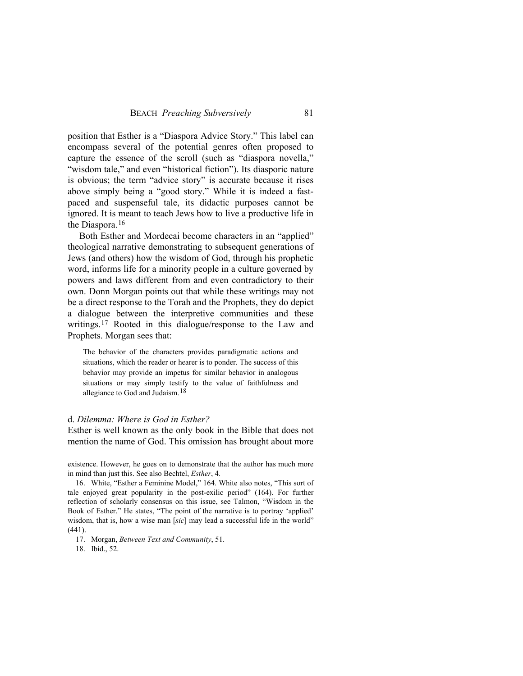position that Esther is a "Diaspora Advice Story." This label can encompass several of the potential genres often proposed to capture the essence of the scroll (such as "diaspora novella," "wisdom tale," and even "historical fiction"). Its diasporic nature is obvious; the term "advice story" is accurate because it rises above simply being a "good story." While it is indeed a fastpaced and suspenseful tale, its didactic purposes cannot be ignored. It is meant to teach Jews how to live a productive life in the Diaspora.[16](#page-6-0)

Both Esther and Mordecai become characters in an "applied" theological narrative demonstrating to subsequent generations of Jews (and others) how the wisdom of God, through his prophetic word, informs life for a minority people in a culture governed by powers and laws different from and even contradictory to their own. Donn Morgan points out that while these writings may not be a direct response to the Torah and the Prophets, they do depict a dialogue between the interpretive communities and these writings[.17](#page-6-1) Rooted in this dialogue/response to the Law and Prophets. Morgan sees that:

The behavior of the characters provides paradigmatic actions and situations, which the reader or hearer is to ponder. The success of this behavior may provide an impetus for similar behavior in analogous situations or may simply testify to the value of faithfulness and allegiance to God and Judaism.[18](#page-6-2)

#### d. *Dilemma: Where is God in Esther?*

Esther is well known as the only book in the Bible that does not mention the name of God. This omission has brought about more

existence. However, he goes on to demonstrate that the author has much more in mind than just this. See also Bechtel, *Esther*, 4.

<span id="page-6-0"></span>16. White, "Esther a Feminine Model," 164. White also notes, "This sort of tale enjoyed great popularity in the post-exilic period" (164). For further reflection of scholarly consensus on this issue, see Talmon, "Wisdom in the Book of Esther." He states, "The point of the narrative is to portray 'applied' wisdom, that is, how a wise man [sic] may lead a successful life in the world" (441).

<span id="page-6-1"></span>17. Morgan, *Between Text and Community*, 51.

<span id="page-6-2"></span>18. Ibid., 52.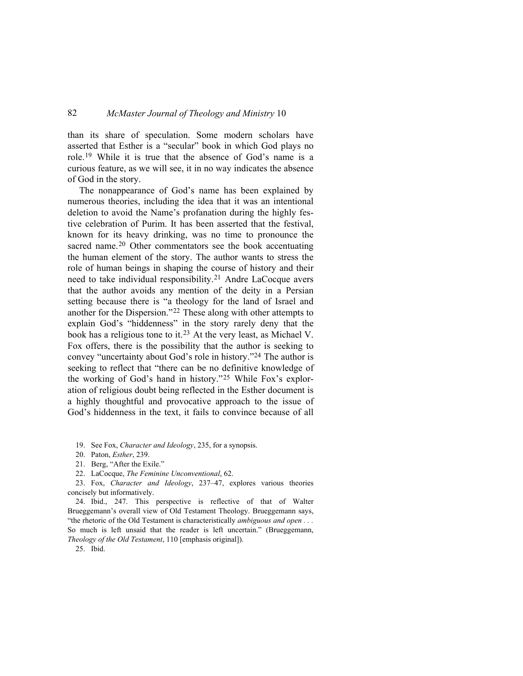than its share of speculation. Some modern scholars have asserted that Esther is a "secular" book in which God plays no role.[19](#page-7-0) While it is true that the absence of God's name is a curious feature, as we will see, it in no way indicates the absence of God in the story.

The nonappearance of God's name has been explained by numerous theories, including the idea that it was an intentional deletion to avoid the Name's profanation during the highly festive celebration of Purim. It has been asserted that the festival, known for its heavy drinking, was no time to pronounce the sacred name.<sup>[20](#page-7-1)</sup> Other commentators see the book accentuating the human element of the story. The author wants to stress the role of human beings in shaping the course of history and their need to take individual responsibility.[21](#page-7-2) Andre LaCocque avers that the author avoids any mention of the deity in a Persian setting because there is "a theology for the land of Israel and another for the Dispersion."[22](#page-7-3) These along with other attempts to explain God's "hiddenness" in the story rarely deny that the book has a religious tone to it.[23](#page-7-4) At the very least, as Michael V. Fox offers, there is the possibility that the author is seeking to convey "uncertainty about God's role in history."[24](#page-7-5) The author is seeking to reflect that "there can be no definitive knowledge of the working of God's hand in history."[25](#page-7-6) While Fox's exploration of religious doubt being reflected in the Esther document is a highly thoughtful and provocative approach to the issue of God's hiddenness in the text, it fails to convince because of all

20. Paton, *Esther*, 239.

21. Berg, "After the Exile."

22. LaCocque, *The Feminine Unconventional*, 62.

<span id="page-7-4"></span><span id="page-7-3"></span><span id="page-7-2"></span><span id="page-7-1"></span>23. Fox, *Character and Ideology*, 237–47, explores various theories concisely but informatively.

<span id="page-7-5"></span>24. Ibid., 247. This perspective is reflective of that of Walter Brueggemann's overall view of Old Testament Theology. Brueggemann says, "the rhetoric of the Old Testament is characteristically *ambiguous and open . . .*  So much is left unsaid that the reader is left uncertain." (Brueggemann, *Theology of the Old Testament*, 110 [emphasis original]).

<span id="page-7-6"></span>25. Ibid.

<span id="page-7-0"></span><sup>19.</sup> See Fox, *Character and Ideology*, 235, for a synopsis.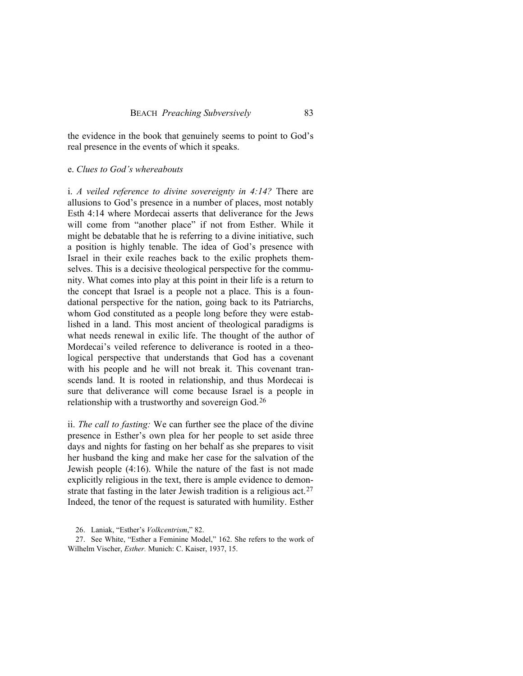the evidence in the book that genuinely seems to point to God's real presence in the events of which it speaks.

### e. *Clues to God's whereabouts*

i. *A veiled reference to divine sovereignty in 4:14?* There are allusions to God's presence in a number of places, most notably Esth 4:14 where Mordecai asserts that deliverance for the Jews will come from "another place" if not from Esther. While it might be debatable that he is referring to a divine initiative, such a position is highly tenable. The idea of God's presence with Israel in their exile reaches back to the exilic prophets themselves. This is a decisive theological perspective for the community. What comes into play at this point in their life is a return to the concept that Israel is a people not a place. This is a foundational perspective for the nation, going back to its Patriarchs, whom God constituted as a people long before they were established in a land. This most ancient of theological paradigms is what needs renewal in exilic life. The thought of the author of Mordecai's veiled reference to deliverance is rooted in a theological perspective that understands that God has a covenant with his people and he will not break it. This covenant transcends land. It is rooted in relationship, and thus Mordecai is sure that deliverance will come because Israel is a people in relationship with a trustworthy and sovereign God.[26](#page-8-0)

ii. *The call to fasting:* We can further see the place of the divine presence in Esther's own plea for her people to set aside three days and nights for fasting on her behalf as she prepares to visit her husband the king and make her case for the salvation of the Jewish people (4:16). While the nature of the fast is not made explicitly religious in the text, there is ample evidence to demon-strate that fasting in the later Jewish tradition is a religious act.<sup>[27](#page-8-1)</sup> Indeed, the tenor of the request is saturated with humility. Esther

<sup>26.</sup> Laniak, "Esther's *Volkcentrism*," 82.

<span id="page-8-1"></span><span id="page-8-0"></span><sup>27.</sup> See White, "Esther a Feminine Model," 162. She refers to the work of Wilhelm Vischer, *Esther.* Munich: C. Kaiser, 1937, 15.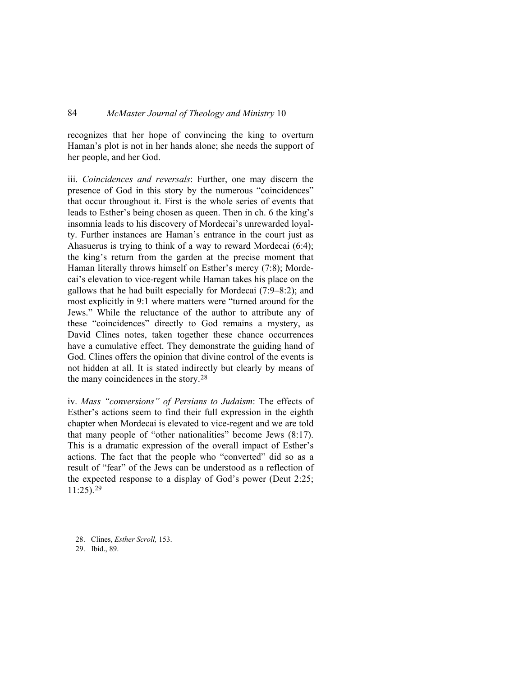recognizes that her hope of convincing the king to overturn Haman's plot is not in her hands alone; she needs the support of her people, and her God.

iii. *Coincidences and reversals*: Further, one may discern the presence of God in this story by the numerous "coincidences" that occur throughout it. First is the whole series of events that leads to Esther's being chosen as queen. Then in ch. 6 the king's insomnia leads to his discovery of Mordecai's unrewarded loyalty. Further instances are Haman's entrance in the court just as Ahasuerus is trying to think of a way to reward Mordecai (6:4); the king's return from the garden at the precise moment that Haman literally throws himself on Esther's mercy (7:8); Mordecai's elevation to vice-regent while Haman takes his place on the gallows that he had built especially for Mordecai (7:9–8:2); and most explicitly in 9:1 where matters were "turned around for the Jews." While the reluctance of the author to attribute any of these "coincidences" directly to God remains a mystery, as David Clines notes, taken together these chance occurrences have a cumulative effect. They demonstrate the guiding hand of God. Clines offers the opinion that divine control of the events is not hidden at all. It is stated indirectly but clearly by means of the many coincidences in the story.[28](#page-9-0)

iv. *Mass "conversions" of Persians to Judaism*: The effects of Esther's actions seem to find their full expression in the eighth chapter when Mordecai is elevated to vice-regent and we are told that many people of "other nationalities" become Jews (8:17). This is a dramatic expression of the overall impact of Esther's actions. The fact that the people who "converted" did so as a result of "fear" of the Jews can be understood as a reflection of the expected response to a display of God's power (Deut 2:25;  $11:25$ ).<sup>[29](#page-9-1)</sup>

- <span id="page-9-0"></span>28. Clines, *Esther Scroll,* 153.
- <span id="page-9-1"></span>29. Ibid., 89.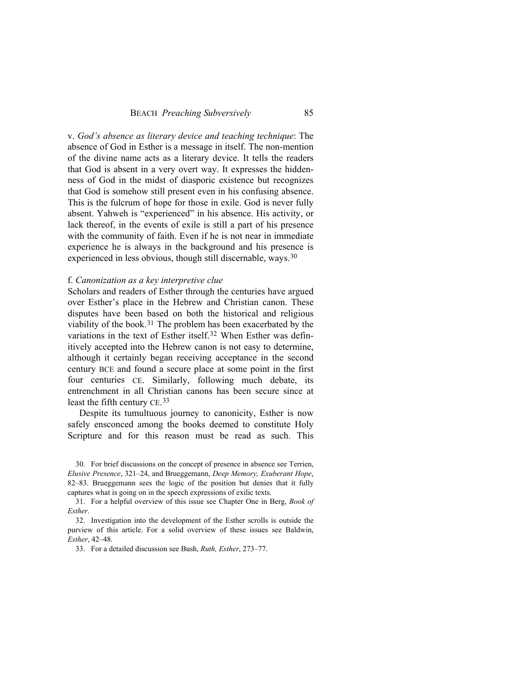v. *God's absence as literary device and teaching technique*: The absence of God in Esther is a message in itself. The non-mention of the divine name acts as a literary device. It tells the readers that God is absent in a very overt way. It expresses the hiddenness of God in the midst of diasporic existence but recognizes that God is somehow still present even in his confusing absence. This is the fulcrum of hope for those in exile. God is never fully absent. Yahweh is "experienced" in his absence. His activity, or lack thereof, in the events of exile is still a part of his presence with the community of faith. Even if he is not near in immediate experience he is always in the background and his presence is experienced in less obvious, though still discernable, ways.<sup>[30](#page-10-0)</sup>

#### f. *Canonization as a key interpretive clue*

Scholars and readers of Esther through the centuries have argued over Esther's place in the Hebrew and Christian canon. These disputes have been based on both the historical and religious viability of the book.[31](#page-10-1) The problem has been exacerbated by the variations in the text of Esther itself.[32](#page-10-2) When Esther was definitively accepted into the Hebrew canon is not easy to determine, although it certainly began receiving acceptance in the second century BCE and found a secure place at some point in the first four centuries CE. Similarly, following much debate, its entrenchment in all Christian canons has been secure since at least the fifth century CE[.33](#page-10-3)

Despite its tumultuous journey to canonicity, Esther is now safely ensconced among the books deemed to constitute Holy Scripture and for this reason must be read as such. This

<span id="page-10-0"></span>30. For brief discussions on the concept of presence in absence see Terrien, *Elusive Presence*, 321–24, and Brueggemann, *Deep Memory, Exuberant Hope*, 82–83. Brueggemann sees the logic of the position but denies that it fully captures what is going on in the speech expressions of exilic texts.

<span id="page-10-1"></span>31. For a helpful overview of this issue see Chapter One in Berg, *Book of Esther*.

<span id="page-10-3"></span><span id="page-10-2"></span>32. Investigation into the development of the Esther scrolls is outside the purview of this article. For a solid overview of these issues see Baldwin, *Esther*, 42–48.

33. For a detailed discussion see Bush, *Ruth, Esther*, 273–77.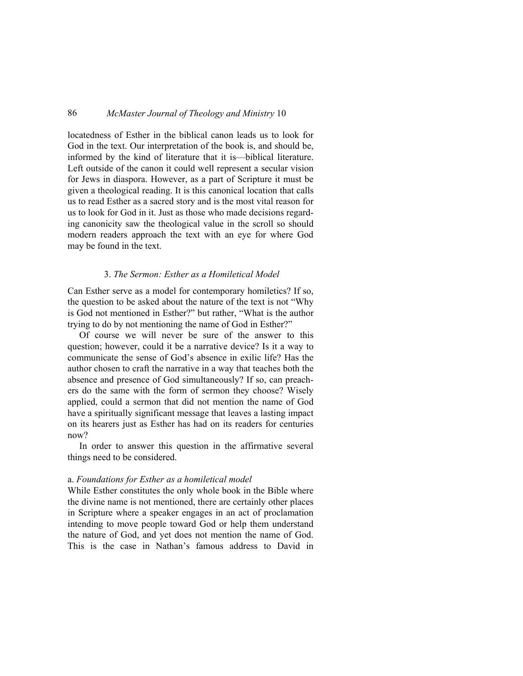locatedness of Esther in the biblical canon leads us to look for God in the text. Our interpretation of the book is, and should be, informed by the kind of literature that it is—biblical literature. Left outside of the canon it could well represent a secular vision for Jews in diaspora. However, as a part of Scripture it must be given a theological reading. It is this canonical location that calls us to read Esther as a sacred story and is the most vital reason for us to look for God in it. Just as those who made decisions regarding canonicity saw the theological value in the scroll so should modern readers approach the text with an eye for where God may be found in the text.

#### 3. *The Sermon: Esther as a Homiletical Model*

Can Esther serve as a model for contemporary homiletics? If so, the question to be asked about the nature of the text is not "Why is God not mentioned in Esther?" but rather, "What is the author trying to do by not mentioning the name of God in Esther?"

Of course we will never be sure of the answer to this question; however, could it be a narrative device? Is it a way to communicate the sense of God's absence in exilic life? Has the author chosen to craft the narrative in a way that teaches both the absence and presence of God simultaneously? If so, can preachers do the same with the form of sermon they choose? Wisely applied, could a sermon that did not mention the name of God have a spiritually significant message that leaves a lasting impact on its hearers just as Esther has had on its readers for centuries now?

In order to answer this question in the affirmative several things need to be considered.

#### a. *Foundations for Esther as a homiletical model*

While Esther constitutes the only whole book in the Bible where the divine name is not mentioned, there are certainly other places in Scripture where a speaker engages in an act of proclamation intending to move people toward God or help them understand the nature of God, and yet does not mention the name of God. This is the case in Nathan's famous address to David in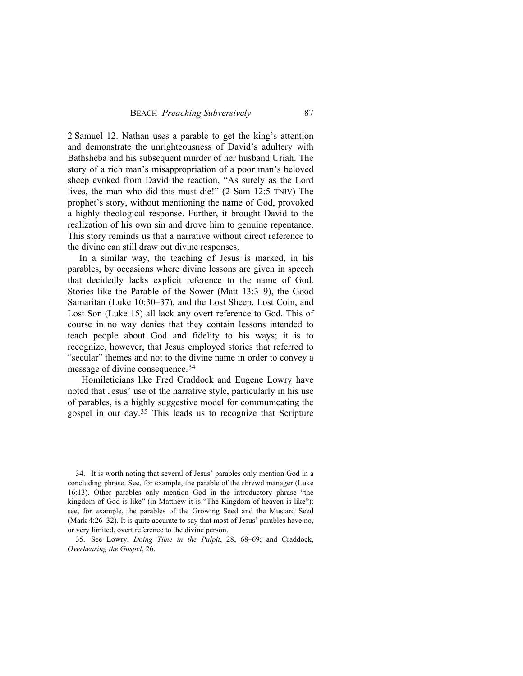2 Samuel 12. Nathan uses a parable to get the king's attention and demonstrate the unrighteousness of David's adultery with Bathsheba and his subsequent murder of her husband Uriah. The story of a rich man's misappropriation of a poor man's beloved sheep evoked from David the reaction, "As surely as the Lord lives, the man who did this must die!" (2 Sam 12:5 TNIV) The prophet's story, without mentioning the name of God, provoked a highly theological response. Further, it brought David to the realization of his own sin and drove him to genuine repentance. This story reminds us that a narrative without direct reference to the divine can still draw out divine responses.

In a similar way, the teaching of Jesus is marked, in his parables, by occasions where divine lessons are given in speech that decidedly lacks explicit reference to the name of God. Stories like the Parable of the Sower (Matt 13:3–9), the Good Samaritan (Luke 10:30–37), and the Lost Sheep, Lost Coin, and Lost Son (Luke 15) all lack any overt reference to God. This of course in no way denies that they contain lessons intended to teach people about God and fidelity to his ways; it is to recognize, however, that Jesus employed stories that referred to "secular" themes and not to the divine name in order to convey a message of divine consequence.[34](#page-12-0)

 Homileticians like Fred Craddock and Eugene Lowry have noted that Jesus' use of the narrative style, particularly in his use of parables, is a highly suggestive model for communicating the gospel in our day.[35](#page-12-1) This leads us to recognize that Scripture

<span id="page-12-0"></span><sup>34.</sup> It is worth noting that several of Jesus' parables only mention God in a concluding phrase. See, for example, the parable of the shrewd manager (Luke 16:13). Other parables only mention God in the introductory phrase "the kingdom of God is like" (in Matthew it is "The Kingdom of heaven is like"): see, for example, the parables of the Growing Seed and the Mustard Seed (Mark 4:26–32). It is quite accurate to say that most of Jesus' parables have no, or very limited, overt reference to the divine person.

<span id="page-12-1"></span><sup>35.</sup> See Lowry, *Doing Time in the Pulpit*, 28, 68–69; and Craddock, *Overhearing the Gospel*, 26.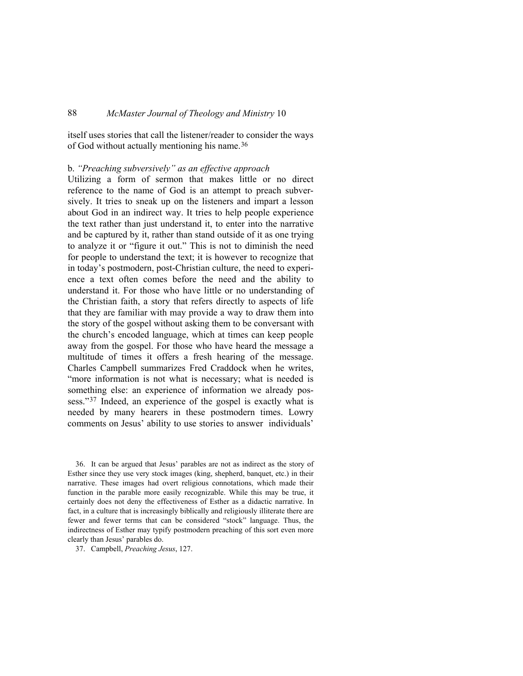itself uses stories that call the listener/reader to consider the ways of God without actually mentioning his name.[36](#page-13-0)

## b. *"Preaching subversively" as an effective approach*

Utilizing a form of sermon that makes little or no direct reference to the name of God is an attempt to preach subversively. It tries to sneak up on the listeners and impart a lesson about God in an indirect way. It tries to help people experience the text rather than just understand it, to enter into the narrative and be captured by it, rather than stand outside of it as one trying to analyze it or "figure it out." This is not to diminish the need for people to understand the text; it is however to recognize that in today's postmodern, post-Christian culture, the need to experience a text often comes before the need and the ability to understand it. For those who have little or no understanding of the Christian faith, a story that refers directly to aspects of life that they are familiar with may provide a way to draw them into the story of the gospel without asking them to be conversant with the church's encoded language, which at times can keep people away from the gospel. For those who have heard the message a multitude of times it offers a fresh hearing of the message. Charles Campbell summarizes Fred Craddock when he writes, "more information is not what is necessary; what is needed is something else: an experience of information we already pos-sess."<sup>[37](#page-13-1)</sup> Indeed, an experience of the gospel is exactly what is needed by many hearers in these postmodern times. Lowry comments on Jesus' ability to use stories to answer individuals'

<span id="page-13-0"></span>36. It can be argued that Jesus' parables are not as indirect as the story of Esther since they use very stock images (king, shepherd, banquet, etc.) in their narrative. These images had overt religious connotations, which made their function in the parable more easily recognizable. While this may be true, it certainly does not deny the effectiveness of Esther as a didactic narrative. In fact, in a culture that is increasingly biblically and religiously illiterate there are fewer and fewer terms that can be considered "stock" language. Thus, the indirectness of Esther may typify postmodern preaching of this sort even more clearly than Jesus' parables do.

<span id="page-13-1"></span>37. Campbell, *Preaching Jesus*, 127.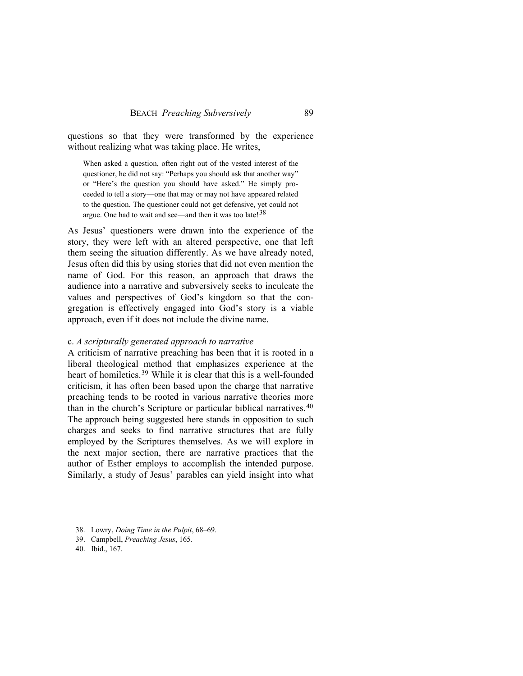questions so that they were transformed by the experience without realizing what was taking place. He writes,

When asked a question, often right out of the vested interest of the questioner, he did not say: "Perhaps you should ask that another way" or "Here's the question you should have asked." He simply proceeded to tell a story—one that may or may not have appeared related to the question. The questioner could not get defensive, yet could not argue. One had to wait and see—and then it was too late!  $38$ 

As Jesus' questioners were drawn into the experience of the story, they were left with an altered perspective, one that left them seeing the situation differently. As we have already noted, Jesus often did this by using stories that did not even mention the name of God. For this reason, an approach that draws the audience into a narrative and subversively seeks to inculcate the values and perspectives of God's kingdom so that the congregation is effectively engaged into God's story is a viable approach, even if it does not include the divine name.

### c. *A scripturally generated approach to narrative*

A criticism of narrative preaching has been that it is rooted in a liberal theological method that emphasizes experience at the heart of homiletics.<sup>[39](#page-14-1)</sup> While it is clear that this is a well-founded criticism, it has often been based upon the charge that narrative preaching tends to be rooted in various narrative theories more than in the church's Scripture or particular biblical narratives.[40](#page-14-2) The approach being suggested here stands in opposition to such charges and seeks to find narrative structures that are fully employed by the Scriptures themselves. As we will explore in the next major section, there are narrative practices that the author of Esther employs to accomplish the intended purpose. Similarly, a study of Jesus' parables can yield insight into what

- <span id="page-14-0"></span>38. Lowry, *Doing Time in the Pulpit*, 68–69.
- <span id="page-14-1"></span>39. Campbell, *Preaching Jesus*, 165.

<span id="page-14-2"></span>40. Ibid., 167.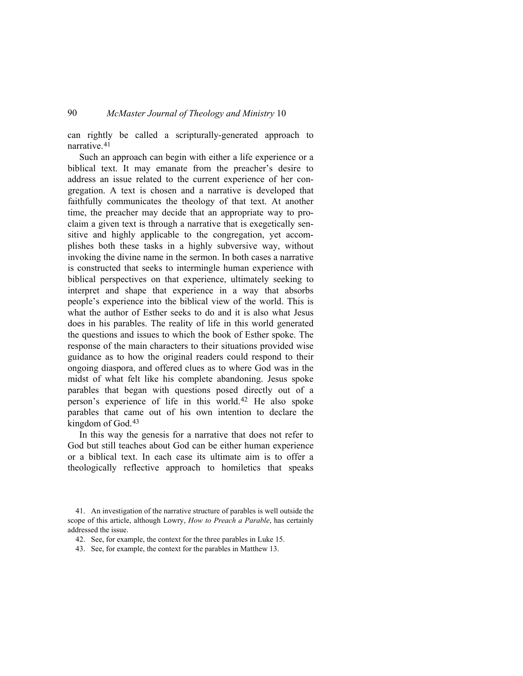can rightly be called a scripturally-generated approach to narrative.[41](#page-15-0)

Such an approach can begin with either a life experience or a biblical text. It may emanate from the preacher's desire to address an issue related to the current experience of her congregation. A text is chosen and a narrative is developed that faithfully communicates the theology of that text. At another time, the preacher may decide that an appropriate way to proclaim a given text is through a narrative that is exegetically sensitive and highly applicable to the congregation, yet accomplishes both these tasks in a highly subversive way, without invoking the divine name in the sermon. In both cases a narrative is constructed that seeks to intermingle human experience with biblical perspectives on that experience, ultimately seeking to interpret and shape that experience in a way that absorbs people's experience into the biblical view of the world. This is what the author of Esther seeks to do and it is also what Jesus does in his parables. The reality of life in this world generated the questions and issues to which the book of Esther spoke. The response of the main characters to their situations provided wise guidance as to how the original readers could respond to their ongoing diaspora, and offered clues as to where God was in the midst of what felt like his complete abandoning. Jesus spoke parables that began with questions posed directly out of a person's experience of life in this world.[42](#page-15-1) He also spoke parables that came out of his own intention to declare the kingdom of God.<sup>[43](#page-15-2)</sup>

In this way the genesis for a narrative that does not refer to God but still teaches about God can be either human experience or a biblical text. In each case its ultimate aim is to offer a theologically reflective approach to homiletics that speaks

<span id="page-15-1"></span><span id="page-15-0"></span><sup>41.</sup> An investigation of the narrative structure of parables is well outside the scope of this article, although Lowry, *How to Preach a Parable*, has certainly addressed the issue.

<sup>42.</sup> See, for example, the context for the three parables in Luke 15.

<span id="page-15-2"></span><sup>43.</sup> See, for example, the context for the parables in Matthew 13.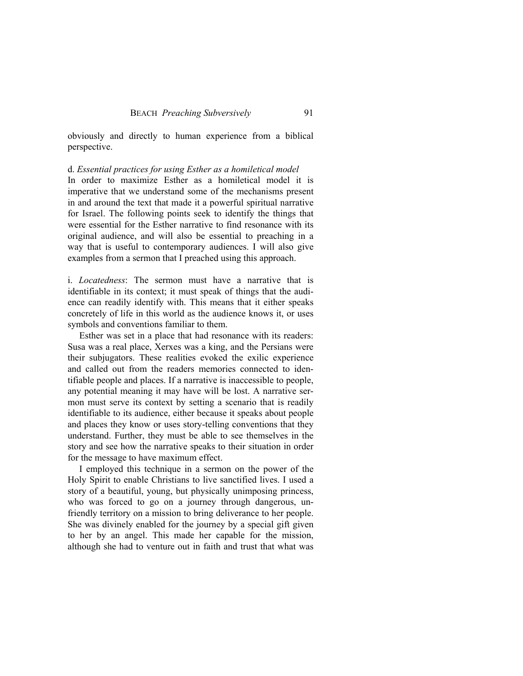obviously and directly to human experience from a biblical perspective.

# d. *Essential practices for using Esther as a homiletical model*

In order to maximize Esther as a homiletical model it is imperative that we understand some of the mechanisms present in and around the text that made it a powerful spiritual narrative for Israel. The following points seek to identify the things that were essential for the Esther narrative to find resonance with its original audience, and will also be essential to preaching in a way that is useful to contemporary audiences. I will also give examples from a sermon that I preached using this approach.

i. *Locatedness*: The sermon must have a narrative that is identifiable in its context; it must speak of things that the audience can readily identify with. This means that it either speaks concretely of life in this world as the audience knows it, or uses symbols and conventions familiar to them.

Esther was set in a place that had resonance with its readers: Susa was a real place, Xerxes was a king, and the Persians were their subjugators. These realities evoked the exilic experience and called out from the readers memories connected to identifiable people and places. If a narrative is inaccessible to people, any potential meaning it may have will be lost. A narrative sermon must serve its context by setting a scenario that is readily identifiable to its audience, either because it speaks about people and places they know or uses story-telling conventions that they understand. Further, they must be able to see themselves in the story and see how the narrative speaks to their situation in order for the message to have maximum effect.

I employed this technique in a sermon on the power of the Holy Spirit to enable Christians to live sanctified lives. I used a story of a beautiful, young, but physically unimposing princess, who was forced to go on a journey through dangerous, unfriendly territory on a mission to bring deliverance to her people. She was divinely enabled for the journey by a special gift given to her by an angel. This made her capable for the mission, although she had to venture out in faith and trust that what was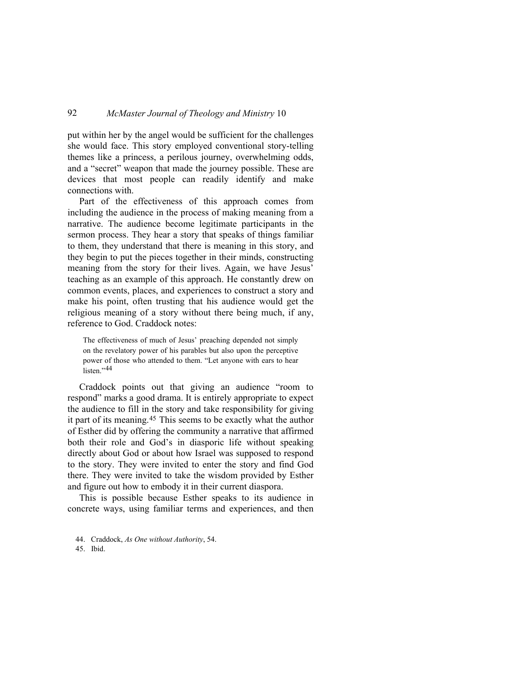put within her by the angel would be sufficient for the challenges she would face. This story employed conventional story-telling themes like a princess, a perilous journey, overwhelming odds, and a "secret" weapon that made the journey possible. These are devices that most people can readily identify and make connections with.

Part of the effectiveness of this approach comes from including the audience in the process of making meaning from a narrative. The audience become legitimate participants in the sermon process. They hear a story that speaks of things familiar to them, they understand that there is meaning in this story, and they begin to put the pieces together in their minds, constructing meaning from the story for their lives. Again, we have Jesus' teaching as an example of this approach. He constantly drew on common events, places, and experiences to construct a story and make his point, often trusting that his audience would get the religious meaning of a story without there being much, if any, reference to God. Craddock notes:

The effectiveness of much of Jesus' preaching depended not simply on the revelatory power of his parables but also upon the perceptive power of those who attended to them. "Let anyone with ears to hear listen."<sup>[44](#page-17-0)</sup>

Craddock points out that giving an audience "room to respond" marks a good drama. It is entirely appropriate to expect the audience to fill in the story and take responsibility for giving it part of its meaning.[45](#page-17-1) This seems to be exactly what the author of Esther did by offering the community a narrative that affirmed both their role and God's in diasporic life without speaking directly about God or about how Israel was supposed to respond to the story. They were invited to enter the story and find God there. They were invited to take the wisdom provided by Esther and figure out how to embody it in their current diaspora.

This is possible because Esther speaks to its audience in concrete ways, using familiar terms and experiences, and then

<span id="page-17-1"></span>45. Ibid.

<span id="page-17-0"></span><sup>44.</sup> Craddock, *As One without Authority*, 54.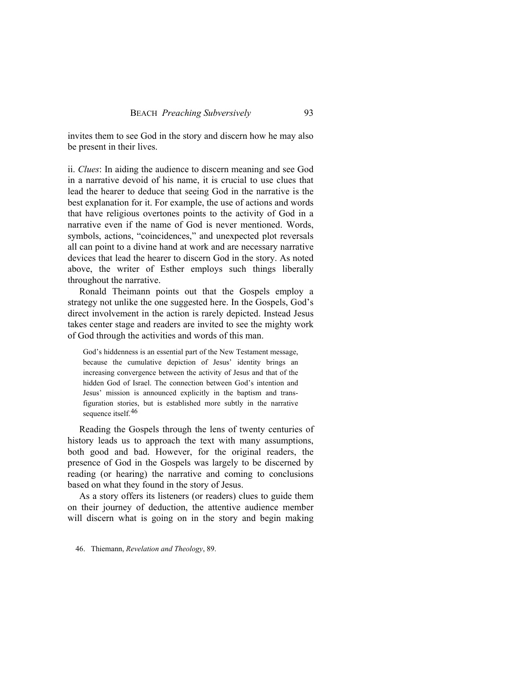invites them to see God in the story and discern how he may also be present in their lives.

ii. *Clues*: In aiding the audience to discern meaning and see God in a narrative devoid of his name, it is crucial to use clues that lead the hearer to deduce that seeing God in the narrative is the best explanation for it. For example, the use of actions and words that have religious overtones points to the activity of God in a narrative even if the name of God is never mentioned. Words, symbols, actions, "coincidences," and unexpected plot reversals all can point to a divine hand at work and are necessary narrative devices that lead the hearer to discern God in the story. As noted above, the writer of Esther employs such things liberally throughout the narrative.

Ronald Theimann points out that the Gospels employ a strategy not unlike the one suggested here. In the Gospels, God's direct involvement in the action is rarely depicted. Instead Jesus takes center stage and readers are invited to see the mighty work of God through the activities and words of this man.

God's hiddenness is an essential part of the New Testament message, because the cumulative depiction of Jesus' identity brings an increasing convergence between the activity of Jesus and that of the hidden God of Israel. The connection between God's intention and Jesus' mission is announced explicitly in the baptism and transfiguration stories, but is established more subtly in the narrative sequence itself.<sup>[46](#page-18-0)</sup>

Reading the Gospels through the lens of twenty centuries of history leads us to approach the text with many assumptions, both good and bad. However, for the original readers, the presence of God in the Gospels was largely to be discerned by reading (or hearing) the narrative and coming to conclusions based on what they found in the story of Jesus.

As a story offers its listeners (or readers) clues to guide them on their journey of deduction, the attentive audience member will discern what is going on in the story and begin making

<span id="page-18-0"></span>46. Thiemann, *Revelation and Theology*, 89.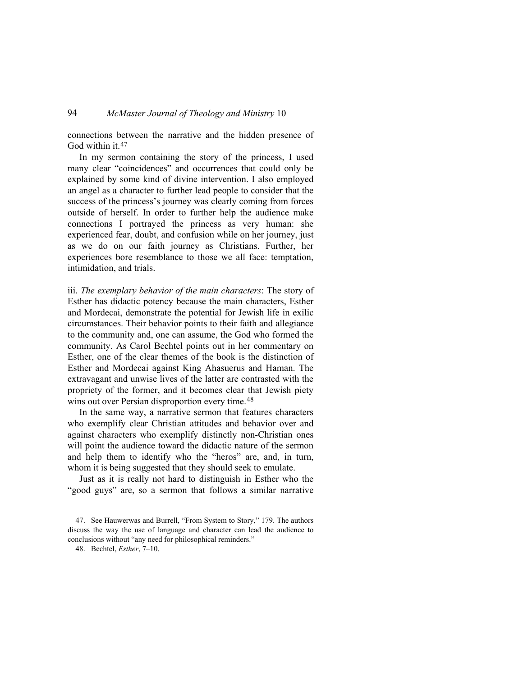connections between the narrative and the hidden presence of God within it.<sup>[47](#page-19-0)</sup>

In my sermon containing the story of the princess, I used many clear "coincidences" and occurrences that could only be explained by some kind of divine intervention. I also employed an angel as a character to further lead people to consider that the success of the princess's journey was clearly coming from forces outside of herself. In order to further help the audience make connections I portrayed the princess as very human: she experienced fear, doubt, and confusion while on her journey, just as we do on our faith journey as Christians. Further, her experiences bore resemblance to those we all face: temptation, intimidation, and trials.

iii. *The exemplary behavior of the main characters*: The story of Esther has didactic potency because the main characters, Esther and Mordecai, demonstrate the potential for Jewish life in exilic circumstances. Their behavior points to their faith and allegiance to the community and, one can assume, the God who formed the community. As Carol Bechtel points out in her commentary on Esther, one of the clear themes of the book is the distinction of Esther and Mordecai against King Ahasuerus and Haman. The extravagant and unwise lives of the latter are contrasted with the propriety of the former, and it becomes clear that Jewish piety wins out over Persian disproportion every time.<sup>[48](#page-19-1)</sup>

In the same way, a narrative sermon that features characters who exemplify clear Christian attitudes and behavior over and against characters who exemplify distinctly non-Christian ones will point the audience toward the didactic nature of the sermon and help them to identify who the "heros" are, and, in turn, whom it is being suggested that they should seek to emulate.

Just as it is really not hard to distinguish in Esther who the "good guys" are, so a sermon that follows a similar narrative

<span id="page-19-1"></span><span id="page-19-0"></span><sup>47.</sup> See Hauwerwas and Burrell, "From System to Story," 179. The authors discuss the way the use of language and character can lead the audience to conclusions without "any need for philosophical reminders."

<sup>48.</sup> Bechtel, *Esther*, 7–10.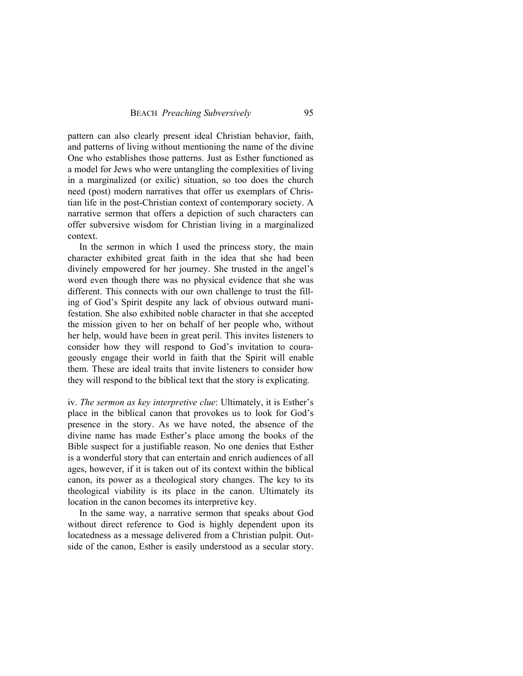pattern can also clearly present ideal Christian behavior, faith, and patterns of living without mentioning the name of the divine One who establishes those patterns. Just as Esther functioned as a model for Jews who were untangling the complexities of living in a marginalized (or exilic) situation, so too does the church need (post) modern narratives that offer us exemplars of Christian life in the post-Christian context of contemporary society. A narrative sermon that offers a depiction of such characters can offer subversive wisdom for Christian living in a marginalized context.

In the sermon in which I used the princess story, the main character exhibited great faith in the idea that she had been divinely empowered for her journey. She trusted in the angel's word even though there was no physical evidence that she was different. This connects with our own challenge to trust the filling of God's Spirit despite any lack of obvious outward manifestation. She also exhibited noble character in that she accepted the mission given to her on behalf of her people who, without her help, would have been in great peril. This invites listeners to consider how they will respond to God's invitation to courageously engage their world in faith that the Spirit will enable them. These are ideal traits that invite listeners to consider how they will respond to the biblical text that the story is explicating.

iv. *The sermon as key interpretive clue*: Ultimately, it is Esther's place in the biblical canon that provokes us to look for God's presence in the story. As we have noted, the absence of the divine name has made Esther's place among the books of the Bible suspect for a justifiable reason. No one denies that Esther is a wonderful story that can entertain and enrich audiences of all ages, however, if it is taken out of its context within the biblical canon, its power as a theological story changes. The key to its theological viability is its place in the canon. Ultimately its location in the canon becomes its interpretive key.

In the same way, a narrative sermon that speaks about God without direct reference to God is highly dependent upon its locatedness as a message delivered from a Christian pulpit. Outside of the canon, Esther is easily understood as a secular story.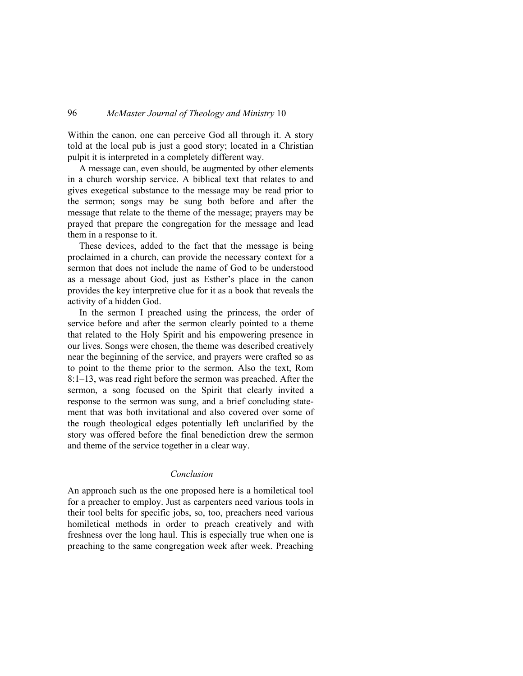Within the canon, one can perceive God all through it. A story told at the local pub is just a good story; located in a Christian pulpit it is interpreted in a completely different way.

A message can, even should, be augmented by other elements in a church worship service. A biblical text that relates to and gives exegetical substance to the message may be read prior to the sermon; songs may be sung both before and after the message that relate to the theme of the message; prayers may be prayed that prepare the congregation for the message and lead them in a response to it.

These devices, added to the fact that the message is being proclaimed in a church, can provide the necessary context for a sermon that does not include the name of God to be understood as a message about God, just as Esther's place in the canon provides the key interpretive clue for it as a book that reveals the activity of a hidden God.

In the sermon I preached using the princess, the order of service before and after the sermon clearly pointed to a theme that related to the Holy Spirit and his empowering presence in our lives. Songs were chosen, the theme was described creatively near the beginning of the service, and prayers were crafted so as to point to the theme prior to the sermon. Also the text, Rom 8:1–13, was read right before the sermon was preached. After the sermon, a song focused on the Spirit that clearly invited a response to the sermon was sung, and a brief concluding statement that was both invitational and also covered over some of the rough theological edges potentially left unclarified by the story was offered before the final benediction drew the sermon and theme of the service together in a clear way.

### *Conclusion*

An approach such as the one proposed here is a homiletical tool for a preacher to employ. Just as carpenters need various tools in their tool belts for specific jobs, so, too, preachers need various homiletical methods in order to preach creatively and with freshness over the long haul. This is especially true when one is preaching to the same congregation week after week. Preaching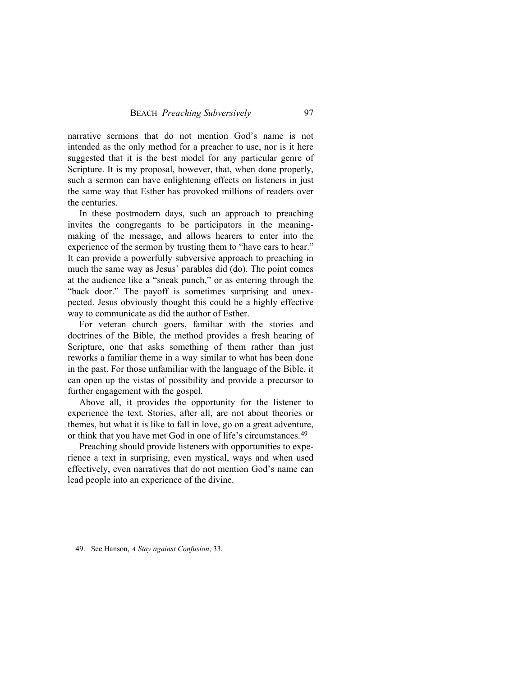narrative sermons that do not mention God's name is not intended as the only method for a preacher to use, nor is it here suggested that it is the best model for any particular genre of Scripture. It is my proposal, however, that, when done properly, such a sermon can have enlightening effects on listeners in just the same way that Esther has provoked millions of readers over the centuries.

In these postmodern days, such an approach to preaching invites the congregants to be participators in the meaningmaking of the message, and allows hearers to enter into the experience of the sermon by trusting them to "have ears to hear." It can provide a powerfully subversive approach to preaching in much the same way as Jesus' parables did (do). The point comes at the audience like a "sneak punch," or as entering through the "back door." The payoff is sometimes surprising and unexpected. Jesus obviously thought this could be a highly effective way to communicate as did the author of Esther.

For veteran church goers, familiar with the stories and doctrines of the Bible, the method provides a fresh hearing of Scripture, one that asks something of them rather than just reworks a familiar theme in a way similar to what has been done in the past. For those unfamiliar with the language of the Bible, it can open up the vistas of possibility and provide a precursor to further engagement with the gospel.

Above all, it provides the opportunity for the listener to experience the text. Stories, after all, are not about theories or themes, but what it is like to fall in love, go on a great adventure, or think that you have met God in one of life's circumstances.[49](#page-22-0)

Preaching should provide listeners with opportunities to experience a text in surprising, even mystical, ways and when used effectively, even narratives that do not mention God's name can lead people into an experience of the divine.

<span id="page-22-0"></span>49. See Hanson, *A Stay against Confusion*, 33.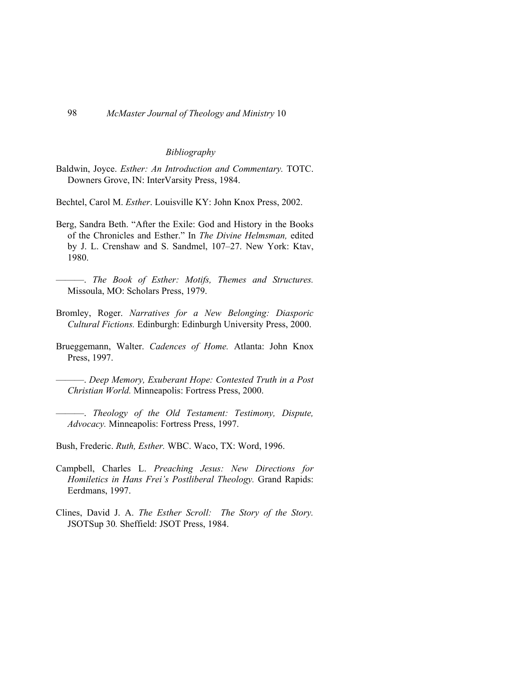#### *Bibliography*

Baldwin, Joyce. *Esther: An Introduction and Commentary.* TOTC. Downers Grove, IN: InterVarsity Press, 1984.

Bechtel, Carol M. *Esther*. Louisville KY: John Knox Press, 2002.

- Berg, Sandra Beth. "After the Exile: God and History in the Books of the Chronicles and Esther." In *The Divine Helmsman,* edited by J. L. Crenshaw and S. Sandmel, 107–27. New York: Ktav, 1980.
	- ———. *The Book of Esther: Motifs, Themes and Structures.*  Missoula, MO: Scholars Press, 1979.
- Bromley, Roger. *Narratives for a New Belonging: Diasporic Cultural Fictions.* Edinburgh: Edinburgh University Press, 2000.
- Brueggemann, Walter. *Cadences of Home.* Atlanta: John Knox Press, 1997.
	- ———. *Deep Memory, Exuberant Hope: Contested Truth in a Post Christian World.* Minneapolis: Fortress Press, 2000.
- ———. *Theology of the Old Testament: Testimony, Dispute, Advocacy.* Minneapolis: Fortress Press, 1997.
- Bush, Frederic. *Ruth, Esther.* WBC. Waco, TX: Word, 1996.
- Campbell, Charles L. *Preaching Jesus: New Directions for Homiletics in Hans Frei's Postliberal Theology.* Grand Rapids: Eerdmans, 1997.
- Clines, David J. A. *The Esther Scroll: The Story of the Story.*  JSOTSup 30*.* Sheffield: JSOT Press, 1984.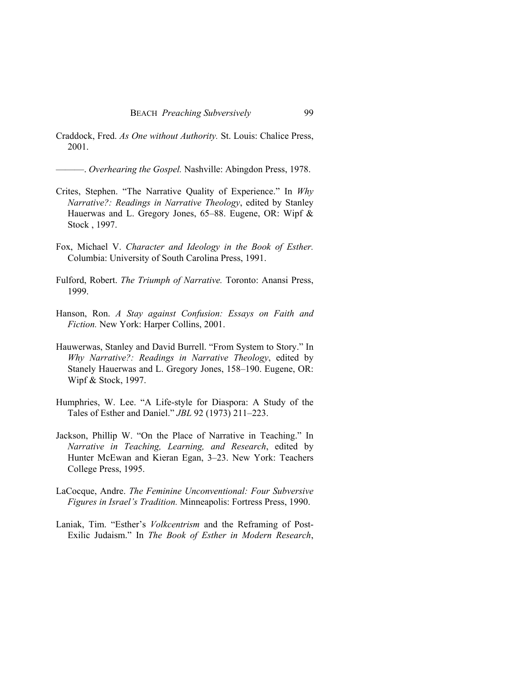Craddock, Fred. *As One without Authority.* St. Louis: Chalice Press, 2001.

———. *Overhearing the Gospel.* Nashville: Abingdon Press, 1978.

- Crites, Stephen. "The Narrative Quality of Experience." In *Why Narrative?: Readings in Narrative Theology*, edited by Stanley Hauerwas and L. Gregory Jones, 65–88. Eugene, OR: Wipf & Stock , 1997.
- Fox, Michael V. *Character and Ideology in the Book of Esther.*  Columbia: University of South Carolina Press, 1991.
- Fulford, Robert. *The Triumph of Narrative.* Toronto: Anansi Press, 1999.
- Hanson, Ron. *A Stay against Confusion: Essays on Faith and Fiction.* New York: Harper Collins, 2001.
- Hauwerwas, Stanley and David Burrell. "From System to Story." In *Why Narrative?: Readings in Narrative Theology*, edited by Stanely Hauerwas and L. Gregory Jones, 158–190. Eugene, OR: Wipf & Stock, 1997.
- Humphries, W. Lee. "A Life-style for Diaspora: A Study of the Tales of Esther and Daniel." *JBL* 92 (1973) 211–223.
- Jackson, Phillip W. "On the Place of Narrative in Teaching." In *Narrative in Teaching, Learning, and Research*, edited by Hunter McEwan and Kieran Egan, 3–23. New York: Teachers College Press, 1995.
- LaCocque, Andre. *The Feminine Unconventional: Four Subversive Figures in Israel's Tradition.* Minneapolis: Fortress Press, 1990.
- Laniak, Tim. "Esther's *Volkcentrism* and the Reframing of Post-Exilic Judaism." In *The Book of Esther in Modern Research*,